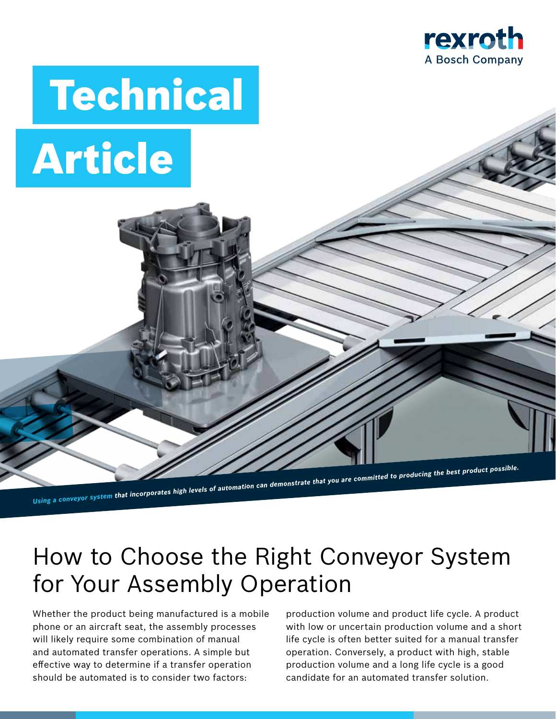

# Technical Article *Using a conveyor system that incorporates high levels of automation can demonstrate that you are committed to producing the best product possible.*

# How to Choose the Right Conveyor System for Your Assembly Operation

Whether the product being manufactured is a mobile phone or an aircraft seat, the assembly processes will likely require some combination of manual and automated transfer operations. A simple but effective way to determine if a transfer operation should be automated is to consider two factors:

production volume and product life cycle. A product with low or uncertain production volume and a short life cycle is often better suited for a manual transfer operation. Conversely, a product with high, stable production volume and a long life cycle is a good candidate for an automated transfer solution.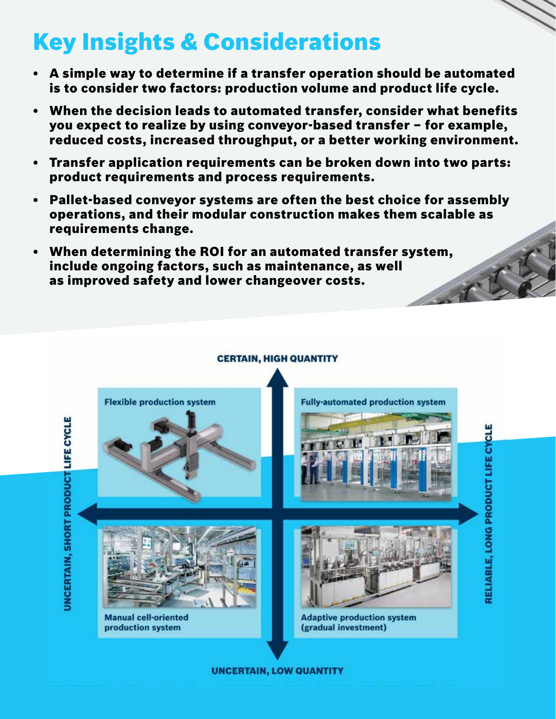# Key Insights & Considerations

- A simple way to determine if a transfer operation should be automated is to consider two factors: production volume and product life cycle.
- When the decision leads to automated transfer, consider what benefits you expect to realize by using conveyor-based transfer – for example, reduced costs, increased throughput, or a better working environment.
- Transfer application requirements can be broken down into two parts: product requirements and process requirements.
- Pallet-based conveyor systems are often the best choice for assembly operations, and their modular construction makes them scalable as requirements change.
- When determining the ROI for an automated transfer system, include ongoing factors, such as maintenance, as well as improved safety and lower changeover costs.

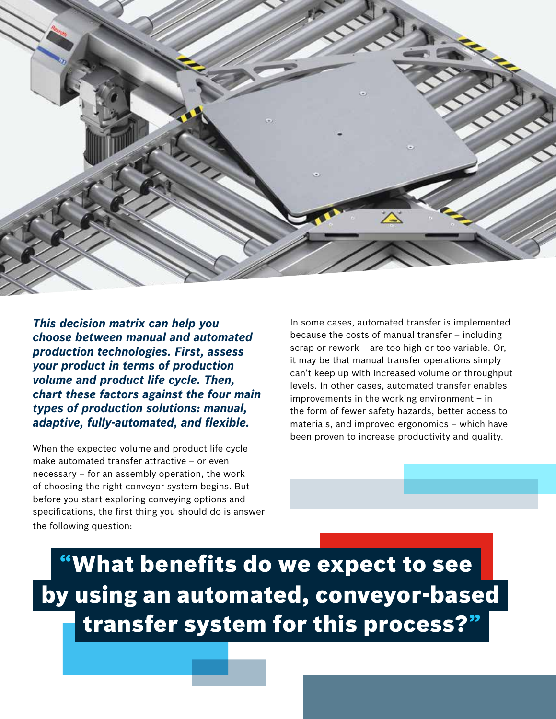

*This decision matrix can help you choose between manual and automated production technologies. First, assess your product in terms of production volume and product life cycle. Then, chart these factors against the four main types of production solutions: manual, adaptive, fully-automated, and flexible.*

When the expected volume and product life cycle make automated transfer attractive – or even necessary – for an assembly operation, the work of choosing the right conveyor system begins. But before you start exploring conveying options and specifications, the first thing you should do is answer the following question:

In some cases, automated transfer is implemented because the costs of manual transfer – including scrap or rework – are too high or too variable. Or, it may be that manual transfer operations simply can't keep up with increased volume or throughput levels. In other cases, automated transfer enables improvements in the working environment – in the form of fewer safety hazards, better access to materials, and improved ergonomics – which have been proven to increase productivity and quality.

"What benefits do we expect to see by using an automated, conveyor-based transfer system for this process?"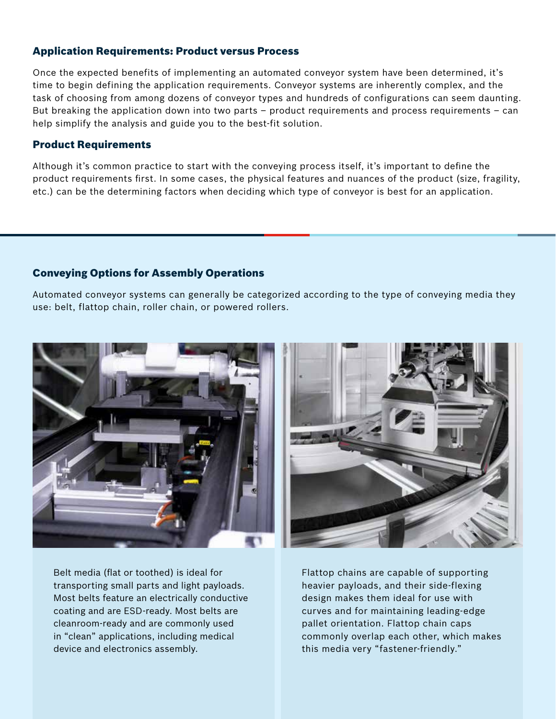### Application Requirements: Product versus Process

Once the expected benefits of implementing an automated conveyor system have been determined, it's time to begin defining the application requirements. Conveyor systems are inherently complex, and the task of choosing from among dozens of conveyor types and hundreds of configurations can seem daunting. But breaking the application down into two parts – product requirements and process requirements – can help simplify the analysis and guide you to the best-fit solution.

### Product Requirements

Although it's common practice to start with the conveying process itself, it's important to define the product requirements first. In some cases, the physical features and nuances of the product (size, fragility, etc.) can be the determining factors when deciding which type of conveyor is best for an application.

### Conveying Options for Assembly Operations

Automated conveyor systems can generally be categorized according to the type of conveying media they use: belt, flattop chain, roller chain, or powered rollers.



Belt media (flat or toothed) is ideal for transporting small parts and light payloads. Most belts feature an electrically conductive coating and are ESD-ready. Most belts are cleanroom-ready and are commonly used in "clean" applications, including medical device and electronics assembly.

Flattop chains are capable of supporting heavier payloads, and their side-flexing design makes them ideal for use with curves and for maintaining leading-edge pallet orientation. Flattop chain caps commonly overlap each other, which makes this media very "fastener-friendly."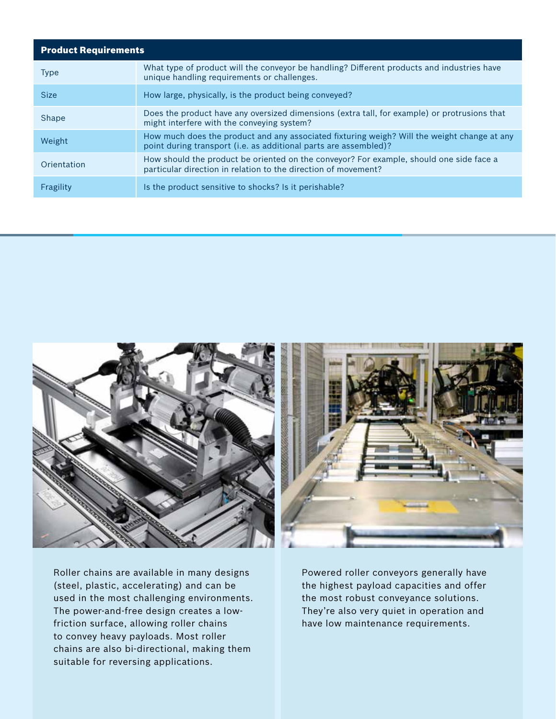| <b>Product Requirements</b> |                                                                                                                                                                 |
|-----------------------------|-----------------------------------------------------------------------------------------------------------------------------------------------------------------|
| <b>Type</b>                 | What type of product will the conveyor be handling? Different products and industries have<br>unique handling requirements or challenges.                       |
| <b>Size</b>                 | How large, physically, is the product being conveyed?                                                                                                           |
| Shape                       | Does the product have any oversized dimensions (extra tall, for example) or protrusions that<br>might interfere with the conveying system?                      |
| Weight                      | How much does the product and any associated fixturing weigh? Will the weight change at any<br>point during transport (i.e. as additional parts are assembled)? |
| Orientation                 | How should the product be oriented on the conveyor? For example, should one side face a<br>particular direction in relation to the direction of movement?       |
| Fragility                   | Is the product sensitive to shocks? Is it perishable?                                                                                                           |



Roller chains are available in many designs (steel, plastic, accelerating) and can be used in the most challenging environments. The power-and-free design creates a lowfriction surface, allowing roller chains to convey heavy payloads. Most roller chains are also bi-directional, making them suitable for reversing applications.

Powered roller conveyors generally have the highest payload capacities and offer the most robust conveyance solutions. They're also very quiet in operation and have low maintenance requirements.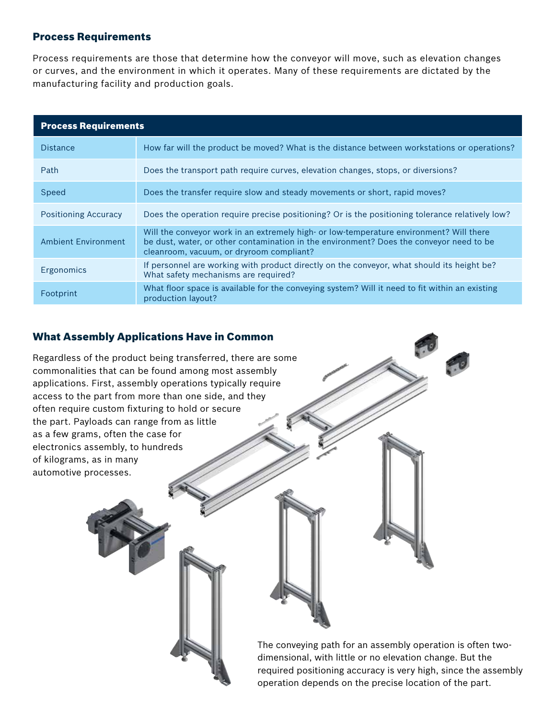### Process Requirements

Process requirements are those that determine how the conveyor will move, such as elevation changes or curves, and the environment in which it operates. Many of these requirements are dictated by the manufacturing facility and production goals.

| <b>Process Requirements</b> |                                                                                                                                                                                                                                |
|-----------------------------|--------------------------------------------------------------------------------------------------------------------------------------------------------------------------------------------------------------------------------|
| <b>Distance</b>             | How far will the product be moved? What is the distance between workstations or operations?                                                                                                                                    |
| Path                        | Does the transport path require curves, elevation changes, stops, or diversions?                                                                                                                                               |
| Speed                       | Does the transfer require slow and steady movements or short, rapid moves?                                                                                                                                                     |
| <b>Positioning Accuracy</b> | Does the operation require precise positioning? Or is the positioning tolerance relatively low?                                                                                                                                |
| <b>Ambient Environment</b>  | Will the conveyor work in an extremely high- or low-temperature environment? Will there<br>be dust, water, or other contamination in the environment? Does the conveyor need to be<br>cleanroom, vacuum, or dryroom compliant? |
| Ergonomics                  | If personnel are working with product directly on the conveyor, what should its height be?<br>What safety mechanisms are required?                                                                                             |
| Footprint                   | What floor space is available for the conveying system? Will it need to fit within an existing<br>production layout?                                                                                                           |

# What Assembly Applications Have in Common

Regardless of the product being transferred, there are some commonalities that can be found among most assembly applications. First, assembly operations typically require access to the part from more than one side, and they often require custom fixturing to hold or secure the part. Payloads can range from as little as a few grams, often the case for electronics assembly, to hundreds of kilograms, as in many automotive processes. The conveying path for an assembly operation is often twodimensional, with little or no elevation change. But the required positioning accuracy is very high, since the assembly operation depends on the precise location of the part.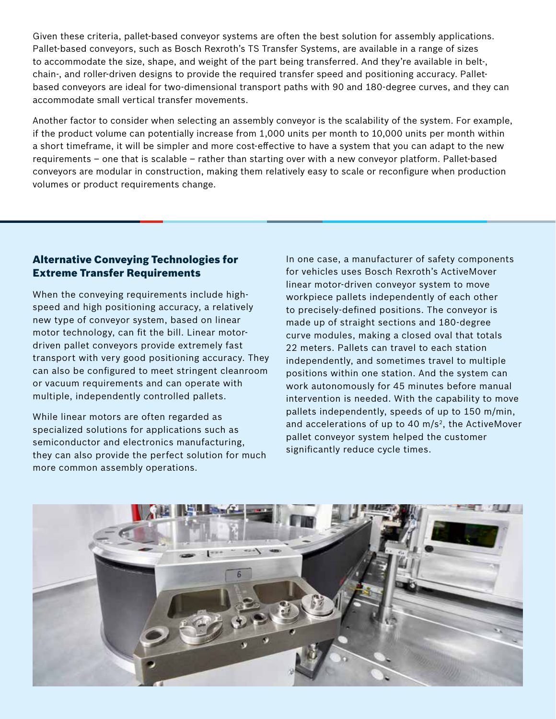Given these criteria, pallet-based conveyor systems are often the best solution for assembly applications. Pallet-based conveyors, such as Bosch Rexroth's TS Transfer Systems, are available in a range of sizes to accommodate the size, shape, and weight of the part being transferred. And they're available in belt-, chain-, and roller-driven designs to provide the required transfer speed and positioning accuracy. Palletbased conveyors are ideal for two-dimensional transport paths with 90 and 180-degree curves, and they can accommodate small vertical transfer movements.

Another factor to consider when selecting an assembly conveyor is the scalability of the system. For example, if the product volume can potentially increase from 1,000 units per month to 10,000 units per month within a short timeframe, it will be simpler and more cost-effective to have a system that you can adapt to the new requirements – one that is scalable – rather than starting over with a new conveyor platform. Pallet-based conveyors are modular in construction, making them relatively easy to scale or reconfigure when production volumes or product requirements change.

### Alternative Conveying Technologies for Extreme Transfer Requirements

When the conveying requirements include highspeed and high positioning accuracy, a relatively new type of conveyor system, based on linear motor technology, can fit the bill. Linear motordriven pallet conveyors provide extremely fast transport with very good positioning accuracy. They can also be configured to meet stringent cleanroom or vacuum requirements and can operate with multiple, independently controlled pallets.

While linear motors are often regarded as specialized solutions for applications such as semiconductor and electronics manufacturing, they can also provide the perfect solution for much more common assembly operations.

In one case, a manufacturer of safety components for vehicles uses Bosch Rexroth's ActiveMover linear motor-driven conveyor system to move workpiece pallets independently of each other to precisely-defined positions. The conveyor is made up of straight sections and 180-degree curve modules, making a closed oval that totals 22 meters. Pallets can travel to each station independently, and sometimes travel to multiple positions within one station. And the system can work autonomously for 45 minutes before manual intervention is needed. With the capability to move pallets independently, speeds of up to 150 m/min, and accelerations of up to 40  $m/s<sup>2</sup>$ , the ActiveMover pallet conveyor system helped the customer significantly reduce cycle times.